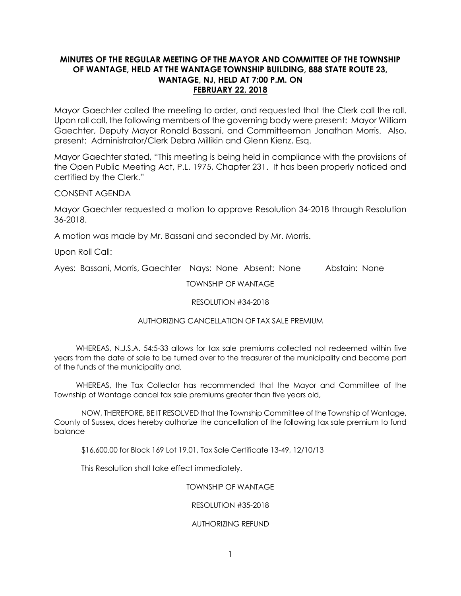# **MINUTES OF THE REGULAR MEETING OF THE MAYOR AND COMMITTEE OF THE TOWNSHIP OF WANTAGE, HELD AT THE WANTAGE TOWNSHIP BUILDING, 888 STATE ROUTE 23, WANTAGE, NJ, HELD AT 7:00 P.M. ON FEBRUARY 22, 2018**

Mayor Gaechter called the meeting to order, and requested that the Clerk call the roll. Upon roll call, the following members of the governing body were present: Mayor William Gaechter, Deputy Mayor Ronald Bassani, and Committeeman Jonathan Morris. Also, present: Administrator/Clerk Debra Millikin and Glenn Kienz, Esq.

Mayor Gaechter stated, "This meeting is being held in compliance with the provisions of the Open Public Meeting Act, P.L. 1975, Chapter 231. It has been properly noticed and certified by the Clerk."

CONSENT AGENDA

Mayor Gaechter requested a motion to approve Resolution 34-2018 through Resolution 36-2018.

A motion was made by Mr. Bassani and seconded by Mr. Morris.

Upon Roll Call:

Ayes: Bassani, Morris, Gaechter Nays: None Absent: None Abstain: None

TOWNSHIP OF WANTAGE

### RESOLUTION #34-2018

# AUTHORIZING CANCELLATION OF TAX SALE PREMIUM

 WHEREAS, N.J.S.A. 54:5-33 allows for tax sale premiums collected not redeemed within five years from the date of sale to be turned over to the treasurer of the municipality and become part of the funds of the municipality and,

 WHEREAS, the Tax Collector has recommended that the Mayor and Committee of the Township of Wantage cancel tax sale premiums greater than five years old,

NOW, THEREFORE, BE IT RESOLVED that the Township Committee of the Township of Wantage, County of Sussex, does hereby authorize the cancellation of the following tax sale premium to fund balance

\$16,600.00 for Block 169 Lot 19.01, Tax Sale Certificate 13-49, 12/10/13

This Resolution shall take effect immediately.

### TOWNSHIP OF WANTAGE

### RESOLUTION #35-2018

### AUTHORIZING REFUND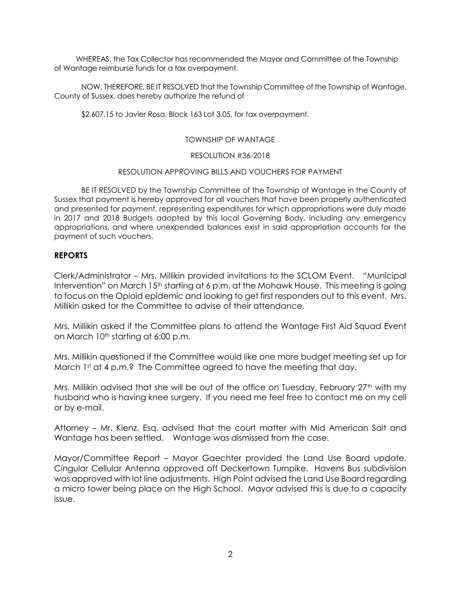WHEREAS, the Tax Collector has recommended the Mayor and Committee of the Township of Wantage reimburse funds for a tax overpayment.

NOW, THEREFORE, BE IT RESOLVED that the Township Committee of the Township of Wantage, County of Sussex, does hereby authorize the refund of

\$2,607.15 to Javier Rosa, Block 163 Lot 3.05, for tax overpayment.

# TOWNSHIP OF WANTAGE

# RESOLUTION #36-2018

# RESOLUTION APPROVING BILLS AND VOUCHERS FOR PAYMENT

BE IT RESOLVED by the Township Committee of the Township of Wantage in the County of Sussex that payment is hereby approved for all vouchers that have been properly authenticated and presented for payment, representing expenditures for which appropriations were duly made in 2017 and 2018 Budgets adopted by this local Governing Body, including any emergency appropriations, and where unexpended balances exist in said appropriation accounts for the payment of such vouchers.

# **REPORTS**

Clerk/Administrator – Mrs. Millikin provided invitations to the SCLOM Event. "Municipal Intervention" on March 15<sup>th</sup> starting at 6 p.m. at the Mohawk House. This meeting is going to focus on the Opioid epidemic and looking to get first responders out to this event. Mrs. Millikin asked for the Committee to advise of their attendance.

Mrs. Millikin asked if the Committee plans to attend the Wantage First Aid Squad Event on March 10<sup>th</sup> starting at 6:00 p.m.

Mrs. Millikin questioned if the Committee would like one more budget meeting set up for March 1st at 4 p.m.? The Committee agreed to have the meeting that day.

Mrs. Millikin advised that she will be out of the office on Tuesday, February 27<sup>th</sup> with my husband who is having knee surgery. If you need me feel free to contact me on my cell or by e-mail.

Attorney – Mr. Kienz, Esq. advised that the court matter with Mid American Salt and Wantage has been settled. Wantage was dismissed from the case.

Mayor/Committee Report – Mayor Gaechter provided the Land Use Board update. Cingular Cellular Antenna approved off Deckertown Turnpike. Havens Bus subdivision was approved with lot line adjustments. High Point advised the Land Use Board regarding a micro tower being place on the High School. Mayor advised this is due to a capacity issue.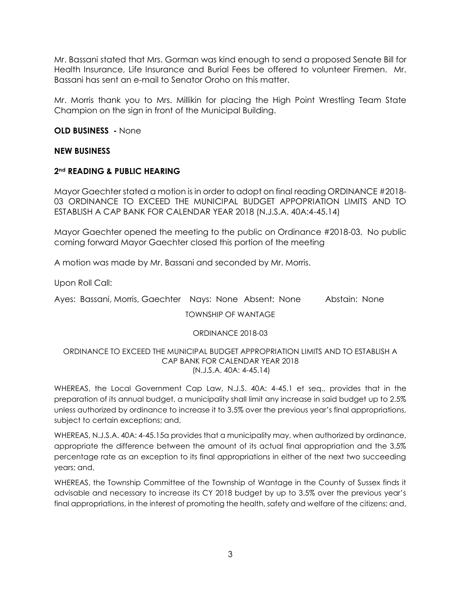Mr. Bassani stated that Mrs. Gorman was kind enough to send a proposed Senate Bill for Health Insurance, Life Insurance and Burial Fees be offered to volunteer Firemen. Mr. Bassani has sent an e-mail to Senator Oroho on this matter.

Mr. Morris thank you to Mrs. Millikin for placing the High Point Wrestling Team State Champion on the sign in front of the Municipal Building.

**OLD BUSINESS -** None

# **NEW BUSINESS**

# **2nd READING & PUBLIC HEARING**

Mayor Gaechter stated a motion is in order to adopt on final reading ORDINANCE #2018- 03 ORDINANCE TO EXCEED THE MUNICIPAL BUDGET APPOPRIATION LIMITS AND TO ESTABLISH A CAP BANK FOR CALENDAR YEAR 2018 (N.J.S.A. 40A:4-45.14)

Mayor Gaechter opened the meeting to the public on Ordinance #2018-03. No public coming forward Mayor Gaechter closed this portion of the meeting

A motion was made by Mr. Bassani and seconded by Mr. Morris.

Upon Roll Call:

Ayes: Bassani, Morris, Gaechter Nays: None Absent: None Abstain: None

TOWNSHIP OF WANTAGE

# ORDINANCE 2018-03

#### ORDINANCE TO EXCEED THE MUNICIPAL BUDGET APPROPRIATION LIMITS AND TO ESTABLISH A CAP BANK FOR CALENDAR YEAR 2018 (N.J.S.A. 40A: 4-45.14)

WHEREAS, the Local Government Cap Law, N.J.S. 40A: 4-45.1 et seq., provides that in the preparation of its annual budget, a municipality shall limit any increase in said budget up to 2.5% unless authorized by ordinance to increase it to 3.5% over the previous year's final appropriations, subject to certain exceptions; and,

WHEREAS, N.J.S.A. 40A: 4-45.15a provides that a municipality may, when authorized by ordinance, appropriate the difference between the amount of its actual final appropriation and the 3.5% percentage rate as an exception to its final appropriations in either of the next two succeeding years; and,

WHEREAS, the Township Committee of the Township of Wantage in the County of Sussex finds it advisable and necessary to increase its CY 2018 budget by up to 3.5% over the previous year's final appropriations, in the interest of promoting the health, safety and welfare of the citizens; and,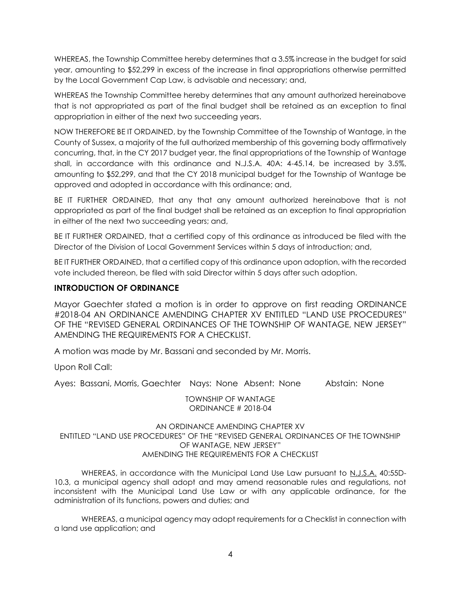WHEREAS, the Township Committee hereby determines that a 3.5% increase in the budget for said year, amounting to \$52,299 in excess of the increase in final appropriations otherwise permitted by the Local Government Cap Law, is advisable and necessary; and,

WHEREAS the Township Committee hereby determines that any amount authorized hereinabove that is not appropriated as part of the final budget shall be retained as an exception to final appropriation in either of the next two succeeding years.

NOW THEREFORE BE IT ORDAINED, by the Township Committee of the Township of Wantage, in the County of Sussex, a majority of the full authorized membership of this governing body affirmatively concurring, that, in the CY 2017 budget year, the final appropriations of the Township of Wantage shall, in accordance with this ordinance and N.J.S.A. 40A: 4-45.14, be increased by 3.5%, amounting to \$52,299, and that the CY 2018 municipal budget for the Township of Wantage be approved and adopted in accordance with this ordinance; and,

BE IT FURTHER ORDAINED, that any that any amount authorized hereinabove that is not appropriated as part of the final budget shall be retained as an exception to final appropriation in either of the next two succeeding years; and,

BE IT FURTHER ORDAINED, that a certified copy of this ordinance as introduced be filed with the Director of the Division of Local Government Services within 5 days of introduction; and,

BE IT FURTHER ORDAINED, that a certified copy of this ordinance upon adoption, with the recorded vote included thereon, be filed with said Director within 5 days after such adoption.

# **INTRODUCTION OF ORDINANCE**

Mayor Gaechter stated a motion is in order to approve on first reading ORDINANCE #2018-04 AN ORDINANCE AMENDING CHAPTER XV ENTITLED "LAND USE PROCEDURES" OF THE "REVISED GENERAL ORDINANCES OF THE TOWNSHIP OF WANTAGE, NEW JERSEY" AMENDING THE REQUIREMENTS FOR A CHECKLIST.

A motion was made by Mr. Bassani and seconded by Mr. Morris.

Upon Roll Call:

Ayes: Bassani, Morris, Gaechter Nays: None Absent: None Abstain: None

TOWNSHIP OF WANTAGE ORDINANCE # 2018-04

# AN ORDINANCE AMENDING CHAPTER XV ENTITLED "LAND USE PROCEDURES" OF THE "REVISED GENERAL ORDINANCES OF THE TOWNSHIP OF WANTAGE, NEW JERSEY" AMENDING THE REQUIREMENTS FOR A CHECKLIST

WHEREAS, in accordance with the Municipal Land Use Law pursuant to N.J.S.A. 40:55D-10.3, a municipal agency shall adopt and may amend reasonable rules and regulations, not inconsistent with the Municipal Land Use Law or with any applicable ordinance, for the administration of its functions, powers and duties; and

WHEREAS, a municipal agency may adopt requirements for a Checklist in connection with a land use application; and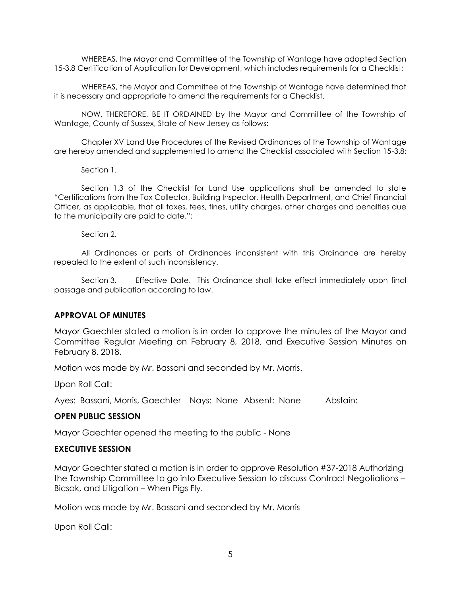WHEREAS, the Mayor and Committee of the Township of Wantage have adopted Section 15-3.8 Certification of Application for Development, which includes requirements for a Checklist;

WHEREAS, the Mayor and Committee of the Township of Wantage have determined that it is necessary and appropriate to amend the requirements for a Checklist.

NOW, THEREFORE, BE IT ORDAINED by the Mayor and Committee of the Township of Wantage, County of Sussex, State of New Jersey as follows:

Chapter XV Land Use Procedures of the Revised Ordinances of the Township of Wantage are hereby amended and supplemented to amend the Checklist associated with Section 15-3.8:

Section 1.

Section 1.3 of the Checklist for Land Use applications shall be amended to state "Certifications from the Tax Collector, Building Inspector, Health Department, and Chief Financial Officer, as applicable, that all taxes, fees, fines, utility charges, other charges and penalties due to the municipality are paid to date.";

Section 2.

All Ordinances or parts of Ordinances inconsistent with this Ordinance are hereby repealed to the extent of such inconsistency.

Section 3. Effective Date. This Ordinance shall take effect immediately upon final passage and publication according to law.

### **APPROVAL OF MINUTES**

Mayor Gaechter stated a motion is in order to approve the minutes of the Mayor and Committee Regular Meeting on February 8, 2018, and Executive Session Minutes on February 8, 2018.

Motion was made by Mr. Bassani and seconded by Mr. Morris.

Upon Roll Call:

Ayes: Bassani, Morris, Gaechter Nays: None Absent: None Abstain:

### **OPEN PUBLIC SESSION**

Mayor Gaechter opened the meeting to the public - None

### **EXECUTIVE SESSION**

Mayor Gaechter stated a motion is in order to approve Resolution #37-2018 Authorizing the Township Committee to go into Executive Session to discuss Contract Negotiations – Bicsak, and Litigation – When Pigs Fly.

Motion was made by Mr. Bassani and seconded by Mr. Morris

Upon Roll Call: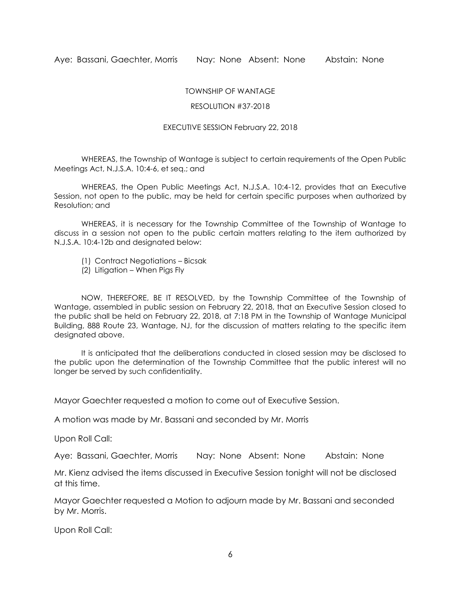### TOWNSHIP OF WANTAGE

#### RESOLUTION #37-2018

#### EXECUTIVE SESSION February 22, 2018

WHEREAS, the Township of Wantage is subject to certain requirements of the Open Public Meetings Act, N.J.S.A. 10:4-6, et seq.; and

WHEREAS, the Open Public Meetings Act, N.J.S.A. 10:4-12, provides that an Executive Session, not open to the public, may be held for certain specific purposes when authorized by Resolution; and

WHEREAS, it is necessary for the Township Committee of the Township of Wantage to discuss in a session not open to the public certain matters relating to the item authorized by N.J.S.A. 10:4-12b and designated below:

- (1) Contract Negotiations Bicsak
- (2) Litigation When Pigs Fly

NOW, THEREFORE, BE IT RESOLVED, by the Township Committee of the Township of Wantage, assembled in public session on February 22, 2018, that an Executive Session closed to the public shall be held on February 22, 2018, at 7:18 PM in the Township of Wantage Municipal Building, 888 Route 23, Wantage, NJ, for the discussion of matters relating to the specific item designated above.

It is anticipated that the deliberations conducted in closed session may be disclosed to the public upon the determination of the Township Committee that the public interest will no longer be served by such confidentiality.

Mayor Gaechter requested a motion to come out of Executive Session.

A motion was made by Mr. Bassani and seconded by Mr. Morris

Upon Roll Call:

Aye: Bassani, Gaechter, Morris Nay: None Absent: None Abstain: None

Mr. Kienz advised the items discussed in Executive Session tonight will not be disclosed at this time.

Mayor Gaechter requested a Motion to adjourn made by Mr. Bassani and seconded by Mr. Morris.

Upon Roll Call: